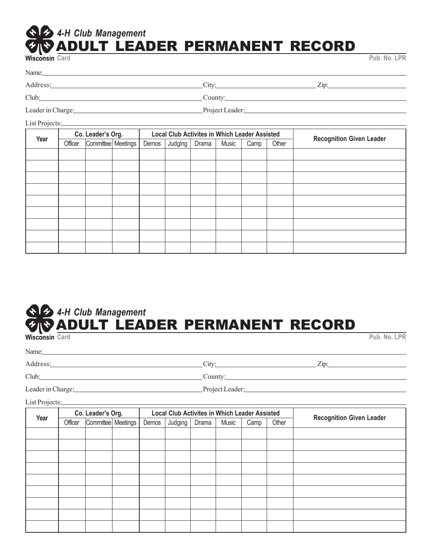## **EXPERIMENT RECORD**<br>Wisconsin Card **Card Pub. No. LPR** *4-H Club Management*

Address: City: Zip:

Club: County:

Leader in Charge: Project Leader:

List Projects:

| Year | Co. Leader's Org. |                      |  |       | <b>Local Club Activites in Which Leader Assisted</b> |       |       | <b>Recognition Given Leader</b> |       |  |
|------|-------------------|----------------------|--|-------|------------------------------------------------------|-------|-------|---------------------------------|-------|--|
|      | Officer           | Committee   Meetings |  | Demos | Judging                                              | Drama | Music | Camp                            | Other |  |
|      |                   |                      |  |       |                                                      |       |       |                                 |       |  |
|      |                   |                      |  |       |                                                      |       |       |                                 |       |  |
|      |                   |                      |  |       |                                                      |       |       |                                 |       |  |
|      |                   |                      |  |       |                                                      |       |       |                                 |       |  |
|      |                   |                      |  |       |                                                      |       |       |                                 |       |  |
|      |                   |                      |  |       |                                                      |       |       |                                 |       |  |
|      |                   |                      |  |       |                                                      |       |       |                                 |       |  |
|      |                   |                      |  |       |                                                      |       |       |                                 |       |  |
|      |                   |                      |  |       |                                                      |       |       |                                 |       |  |

## **EXPERIMENT RECORD**<br>Wisconsin Card **Card Pub. No. LPR** *4-H Club Management*

Name:

Address: City: Zip:

Club: Club: County: County: County: County: County: County: County: County: County: County: County: County: County: County: County: County: County: County: County: County: County: County: County: County: County: County: Co

Leader in Charge: Project Leader:

List Projects:

| Year | Co. Leader's Org. |                      |  |       | <b>Local Club Activites in Which Leader Assisted</b> |       |       |      |       |                                 |
|------|-------------------|----------------------|--|-------|------------------------------------------------------|-------|-------|------|-------|---------------------------------|
|      | Officer           | Committee   Meetings |  | Demos | Judging                                              | Drama | Music | Camp | Other | <b>Recognition Given Leader</b> |
|      |                   |                      |  |       |                                                      |       |       |      |       |                                 |
|      |                   |                      |  |       |                                                      |       |       |      |       |                                 |
|      |                   |                      |  |       |                                                      |       |       |      |       |                                 |
|      |                   |                      |  |       |                                                      |       |       |      |       |                                 |
|      |                   |                      |  |       |                                                      |       |       |      |       |                                 |
|      |                   |                      |  |       |                                                      |       |       |      |       |                                 |
|      |                   |                      |  |       |                                                      |       |       |      |       |                                 |
|      |                   |                      |  |       |                                                      |       |       |      |       |                                 |
|      |                   |                      |  |       |                                                      |       |       |      |       |                                 |